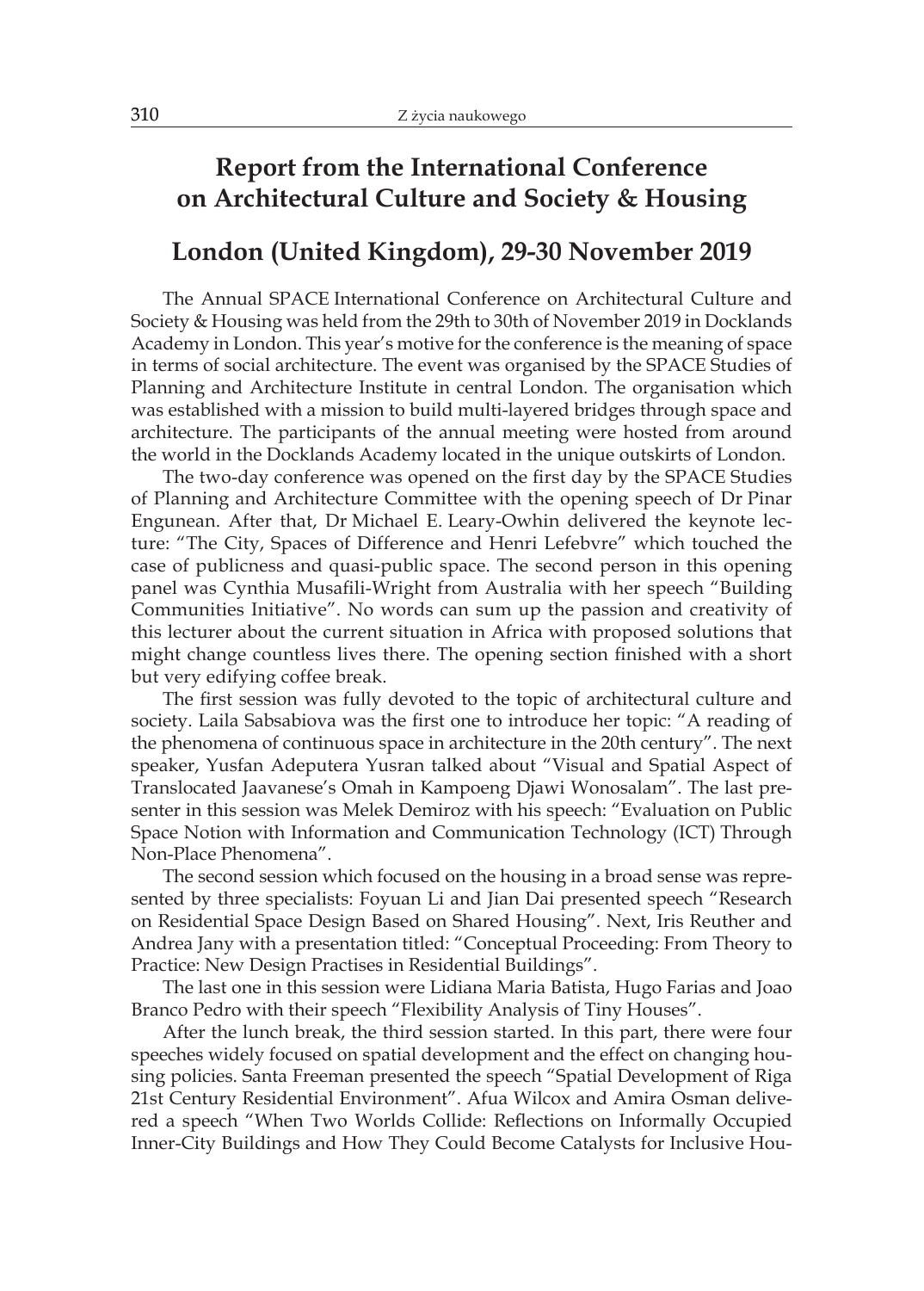## **Report from the International Conference on Architectural Culture and Society & Housing**

## **London (United Kingdom), 29-30 November 2019**

The Annual SPACE International Conference on Architectural Culture and Society & Housing was held from the 29th to 30th of November 2019 in Docklands Academy in London. This year's motive for the conference is the meaning of space in terms of social architecture. The event was organised by the SPACE Studies of Planning and Architecture Institute in central London. The organisation which was established with a mission to build multi-layered bridges through space and architecture. The participants of the annual meeting were hosted from around the world in the Docklands Academy located in the unique outskirts of London.

The two-day conference was opened on the first day by the SPACE Studies of Planning and Architecture Committee with the opening speech of Dr Pinar Engunean. After that, Dr Michael E. Leary-Owhin delivered the keynote lecture: "The City, Spaces of Difference and Henri Lefebvre" which touched the case of publicness and quasi-public space. The second person in this opening panel was Cynthia Musafili-Wright from Australia with her speech "Building Communities Initiative". No words can sum up the passion and creativity of this lecturer about the current situation in Africa with proposed solutions that might change countless lives there. The opening section finished with a short but very edifying coffee break.

The first session was fully devoted to the topic of architectural culture and society. Laila Sabsabiova was the first one to introduce her topic: "A reading of the phenomena of continuous space in architecture in the 20th century". The next speaker, Yusfan Adeputera Yusran talked about "Visual and Spatial Aspect of Translocated Jaavanese's Omah in Kampoeng Djawi Wonosalam". The last presenter in this session was Melek Demiroz with his speech: "Evaluation on Public Space Notion with Information and Communication Technology (ICT) Through Non-Place Phenomena".

The second session which focused on the housing in a broad sense was represented by three specialists: Foyuan Li and Jian Dai presented speech "Research on Residential Space Design Based on Shared Housing". Next, Iris Reuther and Andrea Jany with a presentation titled: "Conceptual Proceeding: From Theory to Practice: New Design Practises in Residential Buildings".

The last one in this session were Lidiana Maria Batista, Hugo Farias and Joao Branco Pedro with their speech "Flexibility Analysis of Tiny Houses".

After the lunch break, the third session started. In this part, there were four speeches widely focused on spatial development and the effect on changing housing policies. Santa Freeman presented the speech "Spatial Development of Riga 21st Century Residential Environment". Afua Wilcox and Amira Osman delivered a speech "When Two Worlds Collide: Reflections on Informally Occupied Inner-City Buildings and How They Could Become Catalysts for Inclusive Hou-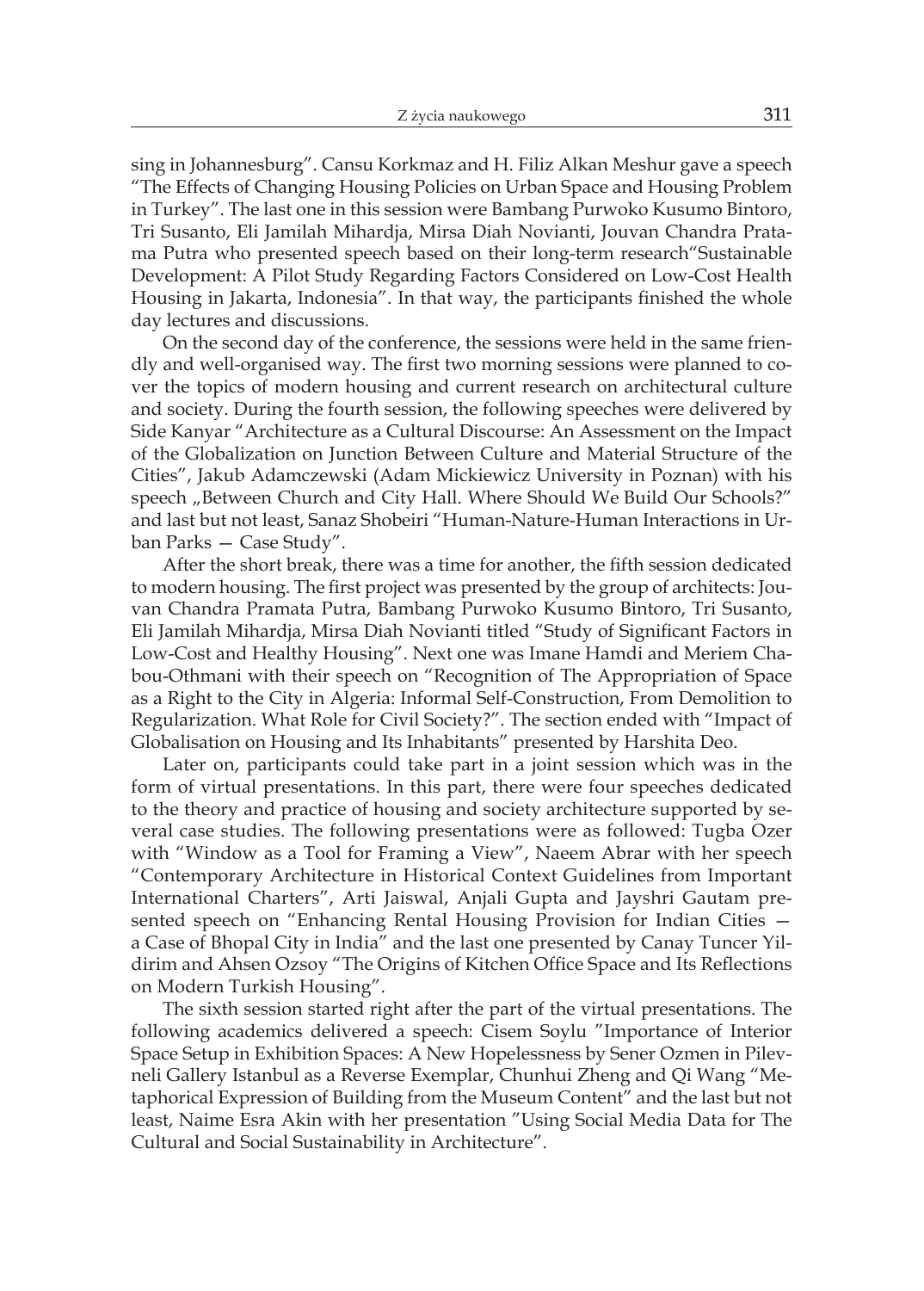sing in Johannesburg". Cansu Korkmaz and H. Filiz Alkan Meshur gave a speech "The Effects of Changing Housing Policies on Urban Space and Housing Problem in Turkey". The last one in this session were Bambang Purwoko Kusumo Bintoro, Tri Susanto, Eli Jamilah Mihardja, Mirsa Diah Novianti, Jouvan Chandra Pratama Putra who presented speech based on their long-term research"Sustainable Development: A Pilot Study Regarding Factors Considered on Low-Cost Health Housing in Jakarta, Indonesia". In that way, the participants finished the whole day lectures and discussions.

On the second day of the conference, the sessions were held in the same friendly and well-organised way. The first two morning sessions were planned to cover the topics of modern housing and current research on architectural culture and society. During the fourth session, the following speeches were delivered by Side Kanyar "Architecture as a Cultural Discourse: An Assessment on the Impact of the Globalization on Junction Between Culture and Material Structure of the Cities", Jakub Adamczewski (Adam Mickiewicz University in Poznan) with his speech "Between Church and City Hall. Where Should We Build Our Schools?" and last but not least, Sanaz Shobeiri "Human-Nature-Human Interactions in Urban Parks — Case Study".

After the short break, there was a time for another, the fifth session dedicated to modern housing. The first project was presented by the group of architects: Jouvan Chandra Pramata Putra, Bambang Purwoko Kusumo Bintoro, Tri Susanto, Eli Jamilah Mihardja, Mirsa Diah Novianti titled "Study of Significant Factors in Low-Cost and Healthy Housing". Next one was Imane Hamdi and Meriem Chabou-Othmani with their speech on "Recognition of The Appropriation of Space as a Right to the City in Algeria: Informal Self-Construction, From Demolition to Regularization. What Role for Civil Society?". The section ended with "Impact of Globalisation on Housing and Its Inhabitants" presented by Harshita Deo.

Later on, participants could take part in a joint session which was in the form of virtual presentations. In this part, there were four speeches dedicated to the theory and practice of housing and society architecture supported by several case studies. The following presentations were as followed: Tugba Ozer with "Window as a Tool for Framing a View", Naeem Abrar with her speech "Contemporary Architecture in Historical Context Guidelines from Important International Charters", Arti Jaiswal, Anjali Gupta and Jayshri Gautam presented speech on "Enhancing Rental Housing Provision for Indian Cities a Case of Bhopal City in India" and the last one presented by Canay Tuncer Yildirim and Ahsen Ozsoy "The Origins of Kitchen Office Space and Its Reflections on Modern Turkish Housing".

The sixth session started right after the part of the virtual presentations. The following academics delivered a speech: Cisem Soylu "Importance of Interior Space Setup in Exhibition Spaces: A New Hopelessness by Sener Ozmen in Pilevneli Gallery Istanbul as a Reverse Exemplar, Chunhui Zheng and Qi Wang "Metaphorical Expression of Building from the Museum Content" and the last but not least, Naime Esra Akin with her presentation "Using Social Media Data for The Cultural and Social Sustainability in Architecture".